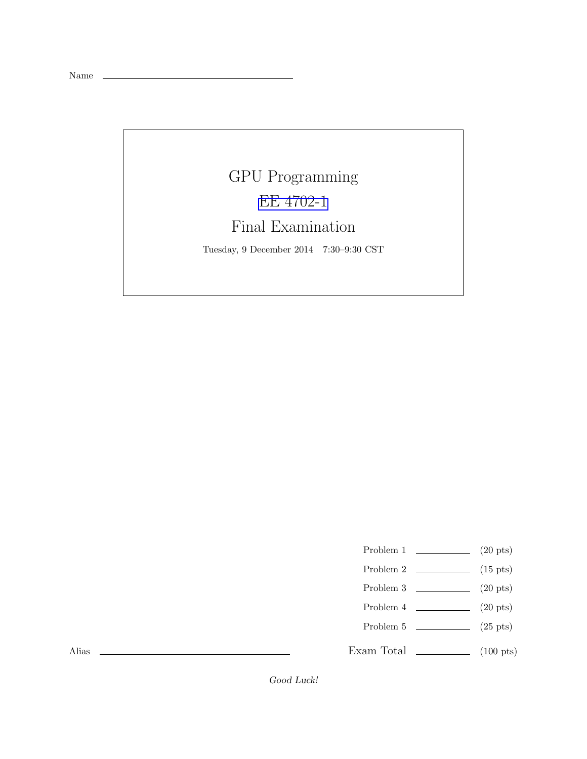Name

## GPU Programming [EE 4702-1](http://www.ece.lsu.edu/koppel/gpup/) Final Examination

Tuesday, 9 December 2014 7:30–9:30 CST

- Problem 1  $\qquad \qquad (20 \text{ pts})$
- Problem 2  $\qquad \qquad$  (15 pts)
- Problem 3  $\qquad \qquad (20 \text{ pts})$
- Problem 4  $\qquad \qquad (20 \text{ pts})$
- Problem 5  $(25 \text{ pts})$
- Exam Total  $\qquad \qquad$  (100 pts)

Alias

Good Luck!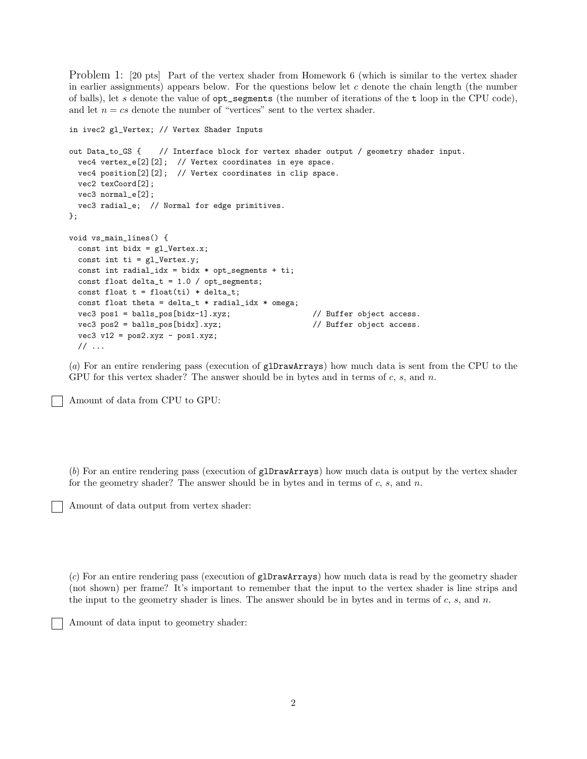Problem 1: [20 pts] Part of the vertex shader from Homework 6 (which is similar to the vertex shader in earlier assignments) appears below. For the questions below let  $c$  denote the chain length (the number of balls), let s denote the value of  $opt$  segments (the number of iterations of the t loop in the CPU code), and let  $n = cs$  denote the number of "vertices" sent to the vertex shader.

```
in ivec2 gl_Vertex; // Vertex Shader Inputs
out Data_to_GS { // Interface block for vertex shader output / geometry shader input.
 vec4 vertex_e[2][2]; // Vertex coordinates in eye space.
 vec4 position[2][2]; // Vertex coordinates in clip space.
 vec2 texCoord[2];
 vec3 normal_e[2];
 vec3 radial_e; // Normal for edge primitives.
};
void vs_main_lines() {
 const int bidx = gl_Vertex.x;
 const int ti = gl_Vertex.y;
 const int radial_idx = bidx * opt_segments + ti;
 const float delta_t = 1.0 / opt_segments;
 const float t = float(ti) * delta_t;const float theta = delta_t * radial_idx * omega;
 vec3 pos1 = balls_pos[bidx-1].xyz; // Buffer object access.
 vec3 pos2 = balls_pos[bidx].xyz; // Buffer object access.
 vec3 v12 = pos2.xyz - pos1.xyz;
 // ...
```
(*a*) For an entire rendering pass (execution of glDrawArrays) how much data is sent from the CPU to the GPU for this vertex shader? The answer should be in bytes and in terms of  $c, s,$  and  $n$ .

Amount of data from CPU to GPU:

(*b*) For an entire rendering pass (execution of glDrawArrays) how much data is output by the vertex shader for the geometry shader? The answer should be in bytes and in terms of  $c, s,$  and  $n$ .

Amount of data output from vertex shader:

(*c*) For an entire rendering pass (execution of glDrawArrays) how much data is read by the geometry shader (not shown) per frame? It's important to remember that the input to the vertex shader is line strips and the input to the geometry shader is lines. The answer should be in bytes and in terms of  $c, s,$  and  $n$ .

Amount of data input to geometry shader: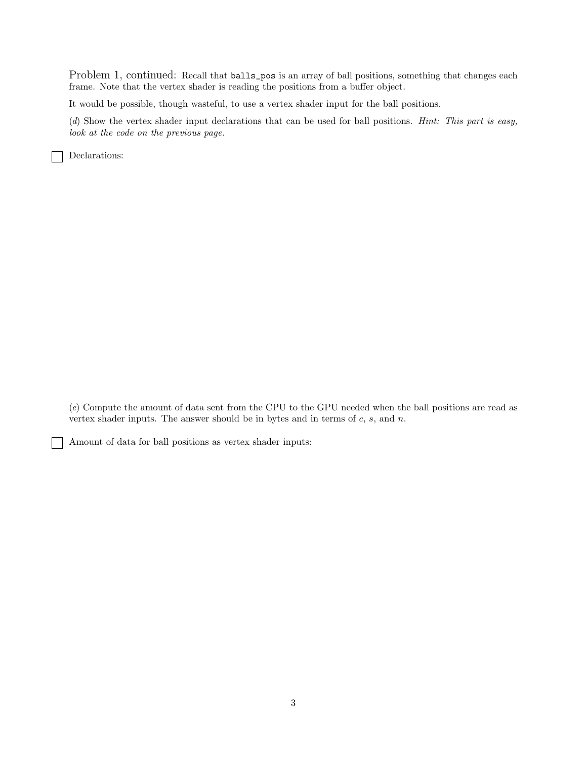Problem 1, continued: Recall that balls\_pos is an array of ball positions, something that changes each frame. Note that the vertex shader is reading the positions from a buffer object.

It would be possible, though wasteful, to use a vertex shader input for the ball positions.

(*d*) Show the vertex shader input declarations that can be used for ball positions. *Hint: This part is easy, look at the code on the previous page.*

Declarations:

(*e*) Compute the amount of data sent from the CPU to the GPU needed when the ball positions are read as vertex shader inputs. The answer should be in bytes and in terms of  $c$ ,  $s$ , and  $n$ .

Amount of data for ball positions as vertex shader inputs: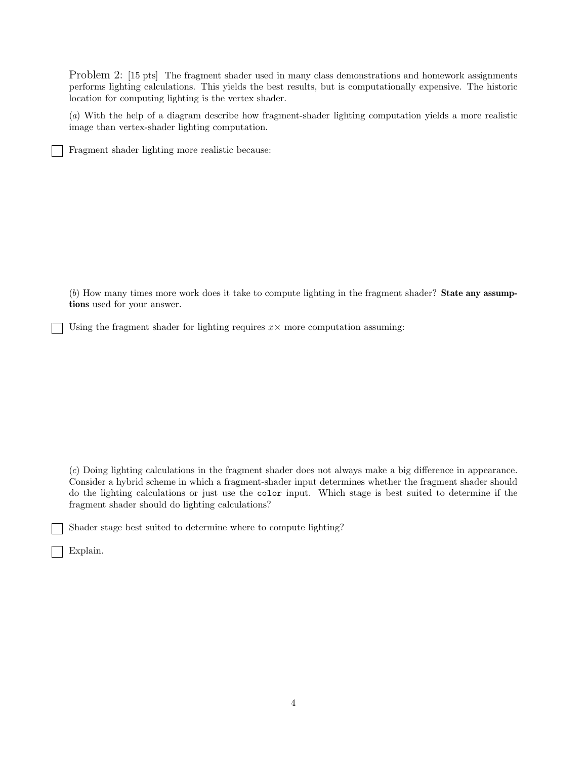Problem 2: [15 pts] The fragment shader used in many class demonstrations and homework assignments performs lighting calculations. This yields the best results, but is computationally expensive. The historic location for computing lighting is the vertex shader.

(*a*) With the help of a diagram describe how fragment-shader lighting computation yields a more realistic image than vertex-shader lighting computation.

Fragment shader lighting more realistic because:

(*b*) How many times more work does it take to compute lighting in the fragment shader? State any assumptions used for your answer.

Using the fragment shader for lighting requires  $x \times$  more computation assuming:

(*c*) Doing lighting calculations in the fragment shader does not always make a big difference in appearance. Consider a hybrid scheme in which a fragment-shader input determines whether the fragment shader should do the lighting calculations or just use the color input. Which stage is best suited to determine if the fragment shader should do lighting calculations?

Shader stage best suited to determine where to compute lighting?

Explain.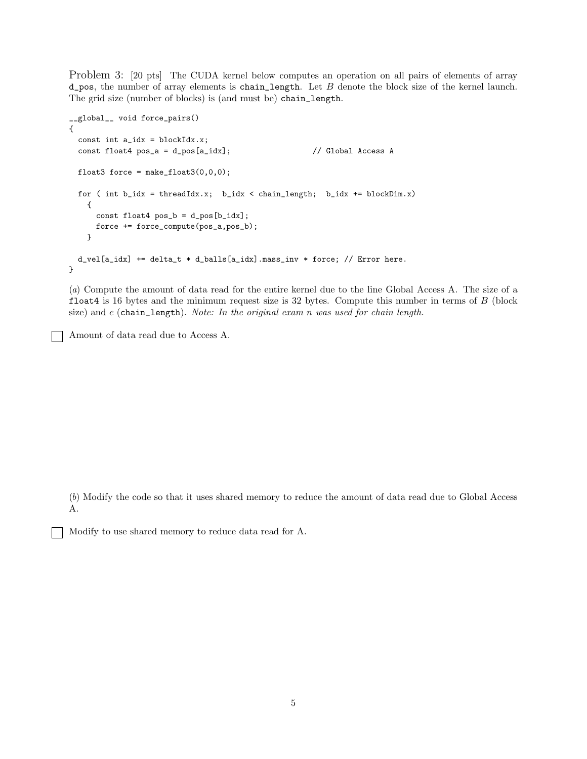Problem 3: [20 pts] The CUDA kernel below computes an operation on all pairs of elements of array  $d$ -pos, the number of array elements is chain\_length. Let B denote the block size of the kernel launch. The grid size (number of blocks) is (and must be) chain\_length.

```
__global__ void force_pairs()
{
  const int a_idx = blockIdx.x;
  const float4 pos_a = d_pos[a_idx]; // Global Access A
  float3 force = make_fload3(0,0,0);for ( int b_idx = threadIdx.x; b_idx < chain_length; b_idx += blockDim.x)
    {
     const float4 pos_b = d_pos[b_idx];
     force += force_compute(pos_a,pos_b);
    }
 d_vel[a_idx] += delta_t * d_balls[a_idx].mass_inv * force; // Error here.
}
```
(*a*) Compute the amount of data read for the entire kernel due to the line Global Access A. The size of a float4 is 16 bytes and the minimum request size is  $32$  bytes. Compute this number in terms of  $B$  (block size) and c (chain\_length). *Note: In the original exam* n *was used for chain length.*

Amount of data read due to Access A.

(*b*) Modify the code so that it uses shared memory to reduce the amount of data read due to Global Access A.

Modify to use shared memory to reduce data read for A.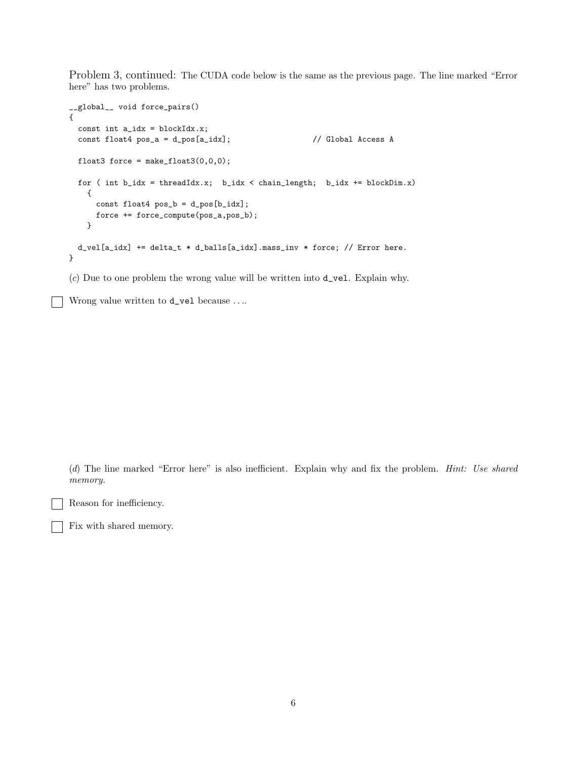Problem 3, continued: The CUDA code below is the same as the previous page. The line marked "Error here" has two problems.

```
__global__ void force_pairs()
{
  const int a_idx = blockIdx.x;
  const float4 pos_a = d_pos[a_idx]; // Global Access A
 float3 force = make_float3(0,0,0);
  for ( int b_idx = threadIdx.x; b_idx < chain_length; b_idx += blockDim.x)
    {
     const float4 pos_b = d_pos[b_idx];force += force_compute(pos_a,pos_b);
    }
 d_vel[a_idx] += delta_t * d_balls[a_idx].mass_inv * force; // Error here.
}
```
(*c*) Due to one problem the wrong value will be written into d\_vel. Explain why.

Wrong value written to **d\_vel** because ....

(*d*) The line marked "Error here" is also inefficient. Explain why and fix the problem. *Hint: Use shared memory.*

Reason for inefficiency.

Fix with shared memory.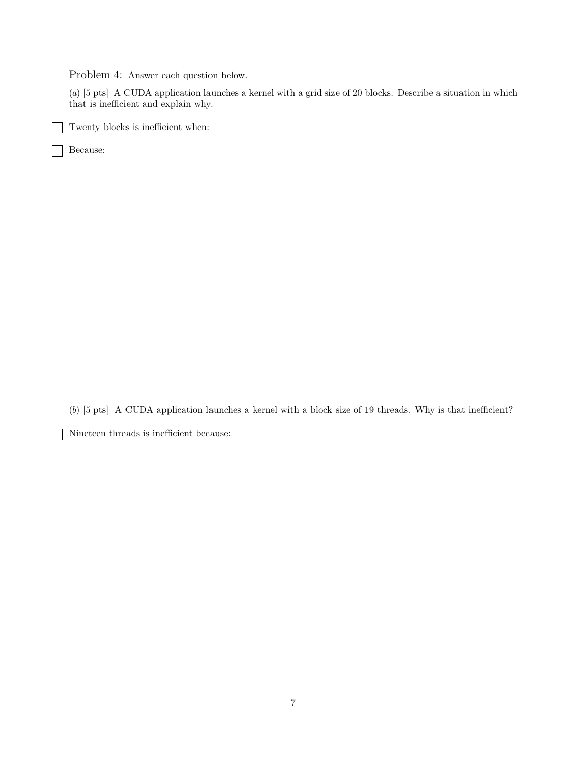Problem 4: Answer each question below.

(*a*) [5 pts] A CUDA application launches a kernel with a grid size of 20 blocks. Describe a situation in which that is inefficient and explain why.

Twenty blocks is inefficient when:

Because:  $\mathsf{I}$ 

(*b*) [5 pts] A CUDA application launches a kernel with a block size of 19 threads. Why is that inefficient?

Nineteen threads is inefficient because: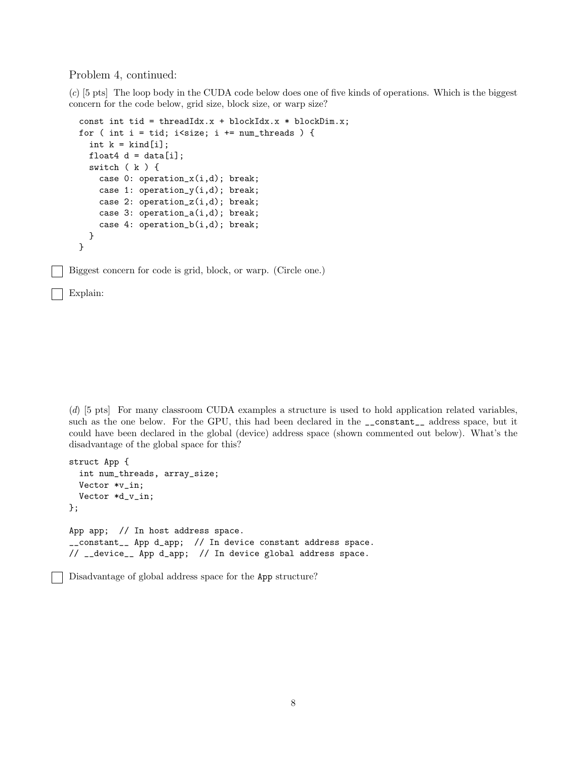Problem 4, continued:

(*c*) [5 pts] The loop body in the CUDA code below does one of five kinds of operations. Which is the biggest concern for the code below, grid size, block size, or warp size?

```
const int tid = threadIdx.x + blockIdx.x * blockDim.x;
for ( int i = tid; i<size; i += num_threads ) {
  int k = kind[i];
  float4 d = data[i];
  switch ( k ) {
    case 0: operation_x(i,d); break;
    case 1: operation_y(i,d); break;
    case 2: operation_z(i,d); break;
    case 3: operation_a(i,d); break;
    case 4: operation_b(i,d); break;
  }
}
```
Biggest concern for code is grid, block, or warp. (Circle one.)

Explain:

(*d*) [5 pts] For many classroom CUDA examples a structure is used to hold application related variables, such as the one below. For the GPU, this had been declared in the \_\_constant\_\_ address space, but it could have been declared in the global (device) address space (shown commented out below). What's the disadvantage of the global space for this?

```
struct App {
  int num_threads, array_size;
  Vector *v_in;
  Vector *d_v_in;
};
App app; // In host address space.
__constant__ App d_app; // In device constant address space.
// __device__ App d_app; // In device global address space.
```
Disadvantage of global address space for the App structure?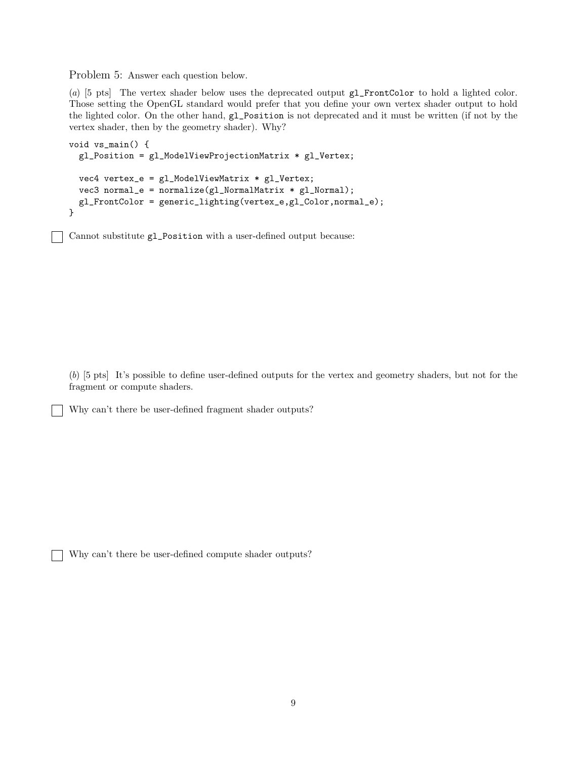Problem 5: Answer each question below.

(*a*) [5 pts] The vertex shader below uses the deprecated output gl\_FrontColor to hold a lighted color. Those setting the OpenGL standard would prefer that you define your own vertex shader output to hold the lighted color. On the other hand, gl\_Position is not deprecated and it must be written (if not by the vertex shader, then by the geometry shader). Why?

```
void vs_main() {
  gl_Position = gl_ModelViewProjectionMatrix * gl_Vertex;
  vec4 vertex_e = gl_ModelViewMatrix * gl_Vertex;
  vec3 normal_e = normalize(gl_NormalMatrix * gl_Normal);
 gl_FrontColor = generic_lighting(vertex_e,gl_Color,normal_e);
}
```
Cannot substitute gl\_Position with a user-defined output because:

(*b*) [5 pts] It's possible to define user-defined outputs for the vertex and geometry shaders, but not for the fragment or compute shaders.

Why can't there be user-defined fragment shader outputs?

Why can't there be user-defined compute shader outputs?